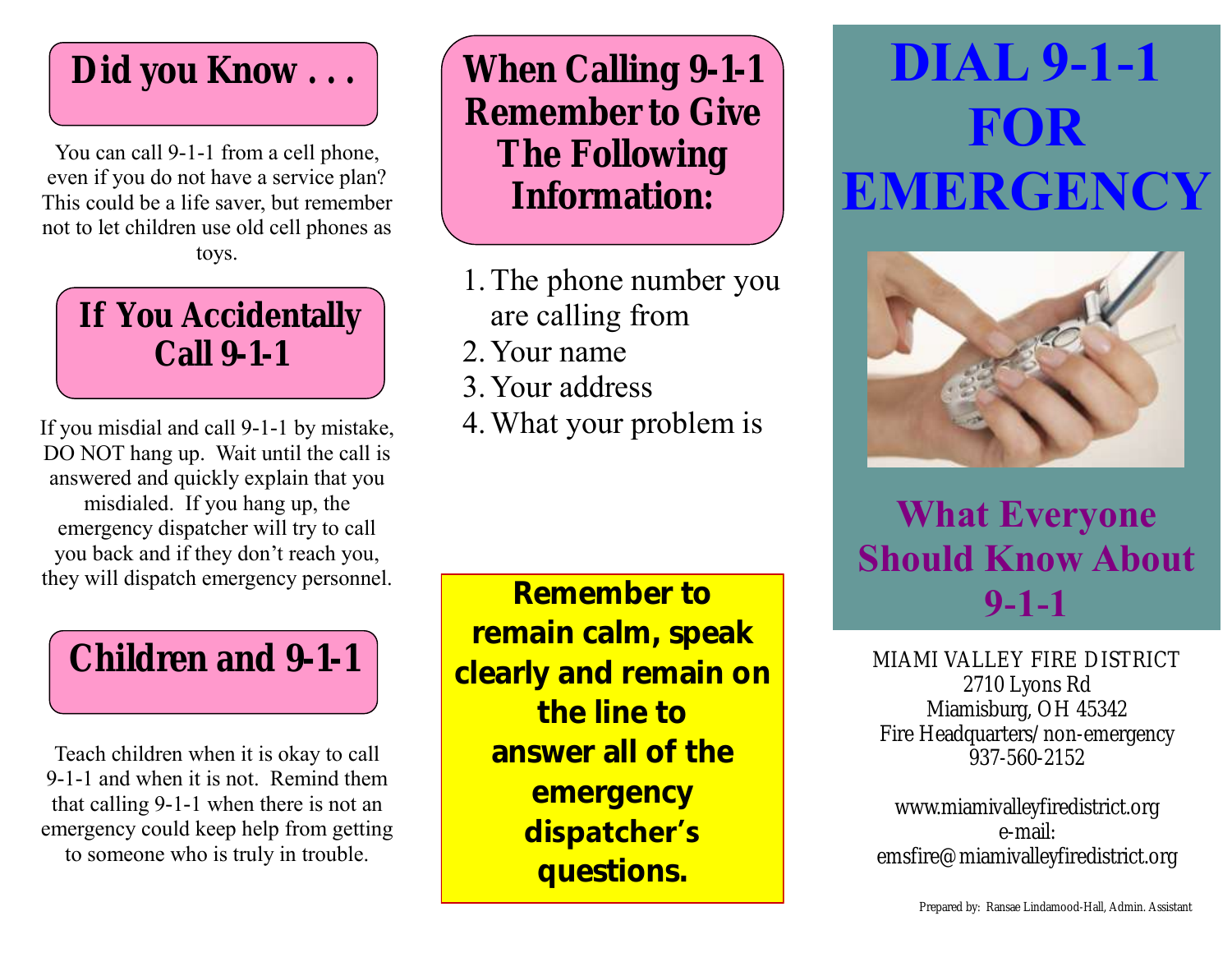# **Did you Know . . .**

You can call 9-1-1 from a cell phone, even if you do not have a service plan? This could be a life saver, but remember not to let children use old cell phones as toys.

> **If You Accidentally Call 9-1-1**

If you misdial and call 9-1-1 by mistake, DO NOT hang up. Wait until the call is answered and quickly explain that you misdialed. If you hang up, the emergency dispatcher will try to call you back and if they don't reach you, they will dispatch emergency personnel.

## **Children and 9-1-1**

Teach children when it is okay to call 9-1-1 and when it is not. Remind them that calling 9-1-1 when there is not an emergency could keep help from getting to someone who is truly in trouble.

**When Calling 9-1-1 Remember to Give The Following Information:**

- 1.The phone number you are calling from
- 2. Your name
- 3. Your address
- 4.What your problem is

**Remember to remain calm, speak clearly and remain on the line to answer all of the emergency dispatcher's questions.**

# **DIAL 9-1-1 FOR EMERGENCY**



## **What Everyone Should Know About 9-1-1**

MIAMI VALLEY FIRE DISTRICT 2710 Lyons Rd Miamisburg, OH 45342 Fire Headquarters/non-emergency 937-560-2152

www.miamivalleyfiredistrict.org e-mail: emsfire@miamivalleyfiredistrict.org